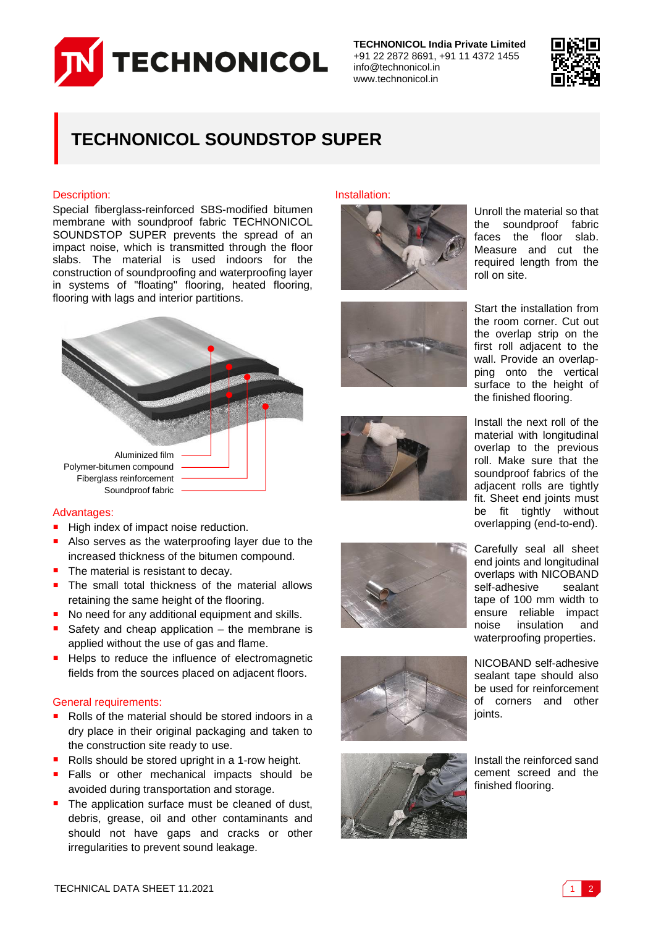

**TECHNONICOL India Private Limited** +91 22 2872 8691, +91 11 4372 1455 info@technonicol.in www.technonicol.in



## **TECHNONICOL SOUNDSTOP SUPER**

#### Description:

Special fiberglass-reinforced SBS-modified bitumen membrane with soundproof fabric TECHNONICOL SOUNDSTOP SUPER prevents the spread of an impact noise, which is transmitted through the floor slabs. The material is used indoors for the construction of soundproofing and waterproofing layer in systems of "floating" flooring, heated flooring, flooring with lags and interior partitions.



#### Advantages:

- High index of impact noise reduction.
- Also serves as the waterproofing layer due to the increased thickness of the bitumen compound.
- $\blacksquare$  The material is resistant to decay.
- The small total thickness of the material allows retaining the same height of the flooring.
- No need for any additional equipment and skills.
- Safety and cheap application the membrane is applied without the use of gas and flame.
- Helps to reduce the influence of electromagnetic fields from the sources placed on adjacent floors.

#### General requirements:

- Rolls of the material should be stored indoors in a dry place in their original packaging and taken to the construction site ready to use.
- Rolls should be stored upright in a 1-row height.
- Falls or other mechanical impacts should be avoided during transportation and storage.
- The application surface must be cleaned of dust, debris, grease, oil and other contaminants and should not have gaps and cracks or other irregularities to prevent sound leakage.

Installation:













Unroll the material so that the soundproof fabric faces the floor slab. Measure and cut the required length from the roll on site.

Start the installation from the room corner. Cut out the overlap strip on the first roll adjacent to the wall. Provide an overlapping onto the vertical surface to the height of the finished flooring.

Install the next roll of the material with longitudinal overlap to the previous roll. Make sure that the soundproof fabrics of the adjacent rolls are tightly fit. Sheet end joints must be fit tightly without overlapping (end-to-end).

Carefully seal all sheet end joints and longitudinal overlaps with NICOBAND self-adhesive sealant tape of 100 mm width to ensure reliable impact<br>noise insulation and insulation and waterproofing properties.

NICOBAND self-adhesive sealant tape should also be used for reinforcement of corners and other joints.

Install the reinforced sand cement screed and the finished flooring.